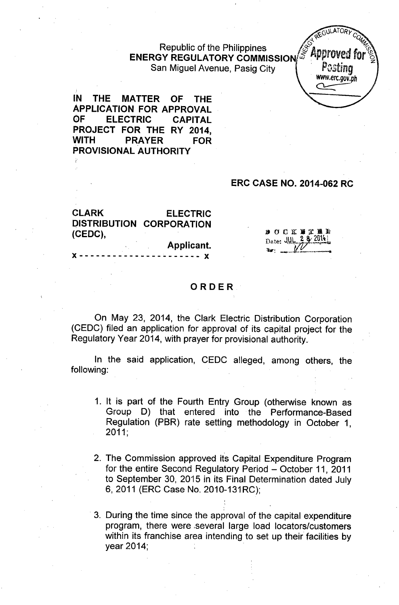# Republic of the Philippines<br>Y RECULATORY COMMISSION ENERGY REGULATORY COMMISSION  $\mathscr{F}$  .<sup>ppproved</sup> for  $\mathscr{F}$ San Miguel Avenue, Pasig City . *Pc.sting*

 $GULATOP$  $I_{\mathcal{H}}$   $C_{Q}$ *[www.erc.gov.ph](http://www.erc.gov.ph)*  $\overline{\phantom{iiiiiiiiiiiiiiiii}}$ 

IN THE MATTER OF THE APPLICATION FOR APPROVAL OF ELECTRIC CAPITAL PROJECT FOR THE RY 2014, WITH PRAYER FOR PROVISIONAL AUTHORITY

### ERC CASE NO. 2014-062 RC

CLARK ELECTRIC DISTRIBUTION CORPORATION (CEDC),

Applicant.

 $---x$ 

**BOCKNERN** Date: JUL 2 8 2014

#### ORDER

On May 23, 2014, the Clark Electric Distribution Corporation (CEDC) filed an application for approval of its capital project for the Regulatory Year 2014, with prayer for provisional authority.

In the said application, CEDC alleged, among others, the following:

- 1. It is part of the Fourth Entry Group (otherwise known as Group D) that entered into the Performance-Based Regulation (PBR) rate setting methodology in October 1, 2011;
- 2. The Commission approved its Capital Expenditure Program for the entire Second Regulatory Period - October 11, 2011 to September 30, 2015 in its Final Determination dated July 6,2011 (ERC Case No. 2010-131RC);
- 3. During the time since the approval of the capital expenditure program, there were ,several large load locators/customers within its franchise area intending to set up their facilities by year 2014;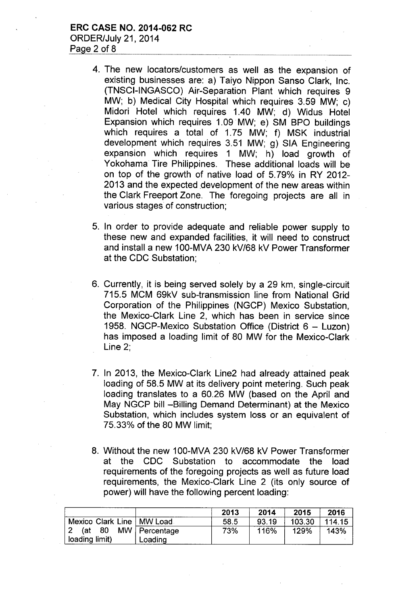## ERC CASE NO. 2014-062 RC ORDER/July 21,2014 Page  $2$  of  $8$

- 4. The new locators/customers as well as the expansion of existing businesses are: a) Taiyo Nippon Sanso Clark, Inc. (TNSCI-INGASCO) Air-Separation Plant which requires 9 MW; b) Medical City Hospital which requires 3.59 MW; c) Midori Hotel which requires 1.40 MW; d) Widus Hotel Expansion which requires 1.09 MW; e) SM BPO buildings which requires a total of 1.75 MW; f) MSK industrial development which requires 3.51 MW; g) SIA Engineering expansion which requires 1 MW; h) load growth of Yokohama Tire Philippines. These additional loads will be on top of the growth of native load of 5.79% in RY 2012- 2013 and the expected development of the new areas within the Clark Freeport Zone. The foregoing projects are all in various stages of construction;
- 5. In order to provide adequate and reliable power supply to these new and expanded facilities, it will need to construct and install a new 1OO-MVA230 kV/68 kV Power Transformer at the CDC Substation;
- 6. Currently, it is being served solely by a 29 km, single-circuit 715.5 MCM 69kV sub-transmission line from National Grid Corporation of the Philippines (NGCP) Mexico Substation, the Mexico-Clark Line 2, which has been in service since 1958. NGCP-Mexico Substation Office (District 6 - Luzon) has imposed a loading limit of 80 MW for the Mexico-Clark Line 2;
- 7. In 2013, the Mexico-Clark Line2 had already attained peak loading of 58.5 MW at its delivery point metering. Such peak loading translates to a 60.26 MW (based on the April and May NGCP bill -Billing Demand Determinant) at the Mexico Substation, which includes system loss or an equivalent of 75.33% of the 80 MW limit;
- 8. Without the new 100-MVA 230 kV/68 kV Power Transformer at the CDC Substation to accommodate the load requirements of the foregoing projects as well as future load requirements, the Mexico-Clark Line 2 (its only source of power) will have the following percent loading:

|                             |                 | 2013 | 2014  | 2015   | 2016   |
|-----------------------------|-----------------|------|-------|--------|--------|
| Mexico Clark Line   MW Load |                 | 58.5 | 93.19 | 103.30 | 114.15 |
| (at 80                      | MW   Percentage | 73%  | 116%  | 129%   | 143%   |
| loading limit)              | Loading         |      |       |        |        |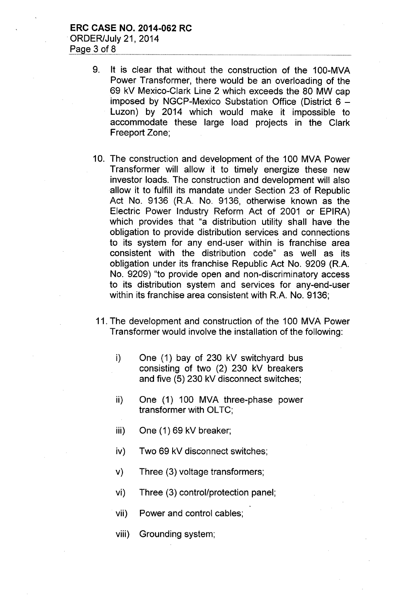- 9. It is clear that without the construction of the 100-MVA Power Transformer, there would be an overloading of the 69 kV Mexico-Clark Line 2 which exceeds the 80 MW cap imposed by NGCP-Mexico Substation Office (District  $6 -$ Luzon) by 2014 which would make it impossible to accommodate these large load projects in the Clark Freeport Zone;
- 10. The construction and development of the 100 MVA Power Transformer will allow it to timely energize these new investor loads. The construction and development will also allow it to fulfill its mandate under Section 23 of Republic Act No. 9136 (R.A. No. 9136, otherwise known as the Electric Power Industry Reform Act of 2001 or EPIRA) which provides that "a distribution utility shall have the obligation to provide distribution services and connections to its system for any end-user within is franchise area consistent with the distribution code" as well as its obligation under its franchise Republic Act No. 9209 (R.A. No. 9209) "to provide open and non-discriminatory access to its distribution system and services for any-end-user within its franchise area consistent with R.A. No. 9136;
- 11. The development and construction of the 100 MVA Power Transformer would involve the installation of the following:
	- i) One (1) bay of 230 kV switchyard bus consisting of two (2) 230 kV breakers and five (5) 230 kV disconnect switches;
	- ii) One (1) 100 MVA three-phase power transformer with OLTC;
	- iii) One (1) 69 kV breaker;
	- iv) Two 69 kV disconnect switches;
	- v) Three (3) voltage transformers;
	- vi) Three (3) control/protection panel;
	- vii) Power and control cables;
	- viii) Grounding system;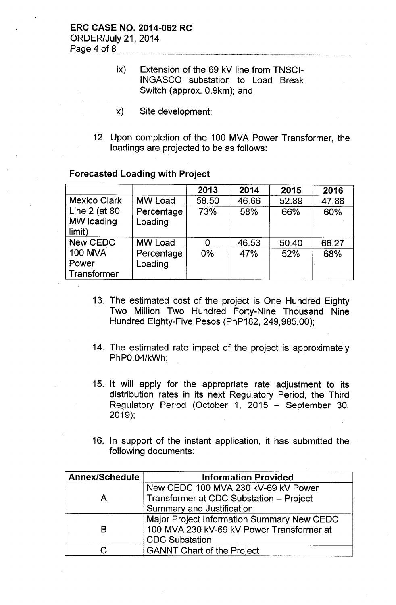# ERC CASE NO. 2014-062 RC ORDER/July 21,2014 Page 4 of 8

- ix) Extension of the 69 kV line from TNSCI-INGASCO substation to Load Break Switch (approx. 0.9km); and
- x) Site development;
- 12. Upon completion of the 100 MVA Power Transformer, the loadings are projected to be as follows:

|                                                    |                       | 2013  | 2014  | 2015  | 2016  |
|----------------------------------------------------|-----------------------|-------|-------|-------|-------|
| <b>Mexico Clark</b>                                | <b>MW Load</b>        | 58.50 | 46.66 | 52.89 | 47.88 |
| Line 2 (at 80<br>MW loading<br>limit)              | Percentage<br>Loading | 73%   | 58%   | 66%   | 60%   |
| New CEDC<br><b>100 MVA</b><br>Power<br>Transformer | <b>MW Load</b>        | 0     | 46.53 | 50.40 | 66.27 |
|                                                    | Percentage<br>Loading | $0\%$ | 47%   | 52%   | 68%   |

# Forecasted Loading with Project

- 13. The estimated cost of the project is One Hundred Eighty Two Million Two Hundred Forty-Nine Thousand Nine Hundred Eighty-Five Pesos (PhP182, 249,985.00);
- 14. The estimated rate impact of the project is approximately PhPO.04/kWh;
- 15. It will apply for the appropriate rate adjustment to its distribution rates in its next Regulatory Period, the Third Regulatory Period (October 1, 2015 - September 30, 2019);
- 16. In support of the instant application, it has submitted the following documents:

| <b>Annex/Schedule</b> | <b>Information Provided</b>                |  |  |
|-----------------------|--------------------------------------------|--|--|
|                       | New CEDC 100 MVA 230 kV-69 kV Power        |  |  |
| А                     | Transformer at CDC Substation - Project    |  |  |
|                       | <b>Summary and Justification</b>           |  |  |
|                       | Major Project Information Summary New CEDC |  |  |
| В                     | 100 MVA 230 kV-69 kV Power Transformer at  |  |  |
|                       | <b>CDC Substation</b>                      |  |  |
|                       | <b>GANNT Chart of the Project</b>          |  |  |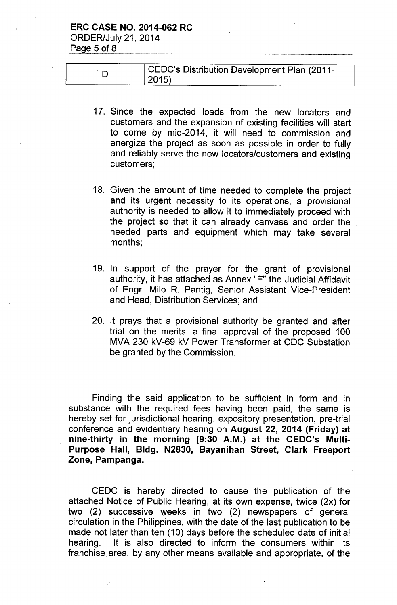# ERC CASE NO. 2014-062 RC

ORDER/July 21,2014 Page  $5$  of  $8$ 

| CEDC's Distribution Development Plan (2011- |  |  |
|---------------------------------------------|--|--|
| 2015)                                       |  |  |

- 17. Since the expected loads from the new locators and customers and the expansion of existing facilities will start to come by mid-2014, it will need to commission and energize the project as soon as possible in order to fully and reliably serve the new locators/customers and existing customers;
- 18. Given the amount of time needed to complete the project and its urgent necessity to its operations, a provisional authority is needed to allow it to immediately proceed with the project so that it can already canvass and order the needed parts and equipment which may take several months;
- 19. In support of the prayer for the grant of provisional authority, it has attached as Annex "E" the Judicial Affidavit of Engr. Milo R. Pantig, Senior Assistant Vice-President and Head, Distribution Services; and
- 20. It prays that a provisional authority be granted and after trial on the merits, a final approval of the proposed 100 MVA 230 kV-69 kV Power Transformer at CDC Substation be granted by the Commission.

Finding the said application to be sufficient in form and in substance with the required fees having been paid, the same is hereby set for jurisdictional hearing, expository presentation, pre-trial conference and evidentiary hearing on August 22, 2014 (Friday) at nine-thirty in the morning (9:30 A.M.) at the CEDC's Multi-Purpose Hall, Bldg. N2830, Bayanihan Street, Clark Freeport Zone, Pampanga.

CEDC is hereby directed to cause the publication of the attached Notice of Public Hearing, at its own expense, twice (2x) for two (2) successive weeks in two (2) newspapers of general circulation in the Philippines, with the date of the last publication to be made not later than ten (10) days before the scheduled date of initial hearing. It is also directed to inform the consumers within its franchise area, by any other means available and appropriate, of the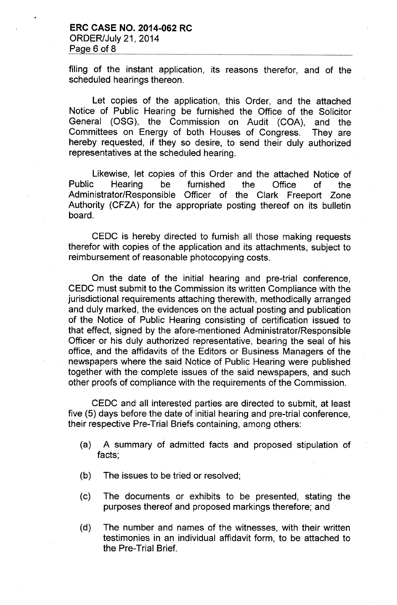filing of the instant application, its reasons therefor, and of the scheduled hearings thereon.

Let copies of the application, this Order, and the attached Notice of Public Hearing be furnished the Office of the Solicitor General (OSG), the Commission on Audit (COA), and the Committees on Energy of both Houses of Congress. They are hereby requested, if they so desire, to send their duly authorized representatives at the scheduled hearing.

Likewise, let copies of this Order and the attached Notice of Public Hearing be furnished the Office of the Administrator/Responsible Officer of the Clark Freeport Zone Authority (CFZA) for the appropriate posting thereof on its bulletin board.

CEDC is hereby directed to furnish all those making requests therefor with copies of the application and its attachments, subject to reimbursement of reasonable photocopying costs.

On the date of the initial hearing and pre-trial conference, CEDC must submit to the Commission its written Compliance with the jurisdictional requirements attaching therewith, methodically arranged and duly marked, the evidences on the actual posting and publication of the Notice of Public Hearing consisting of certification issued to that effect, signed by the afore-mentioned Administrator/Responsible Officer or his duly authorized representative, bearing the seal of his office, and the affidavits of the Editors or Business Managers of the newspapers where the said Notice of Public Hearing were published together with the complete issues of the said newspapers, and such other proofs of compliance with the requirements of the Commission.

CEDC and all interested parties are directed to submit, at least five (5) days before the date of initial hearing and pre-trial conference, their respective Pre-Trial Briefs containing, among others:

- (a) A summary of admitted facts and proposed stipulation of facts;
- (b) The issues to be tried or resolved;
- (c) The documents or exhibits to be presented, stating the purposes thereof and proposed markings therefore; and
- (d) The number and names of the witnesses, with their written testimonies in an individual affidavit form, to be attached to the Pre-Trial Brief.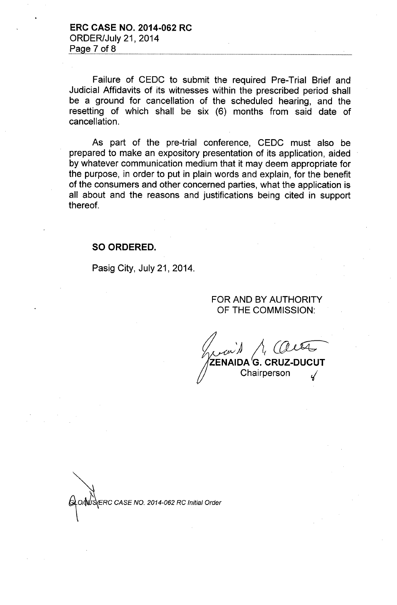ERC CA5E NO. 2014-062 RC ORDER/July 21,2014 Page  $7$  of  $8$ 

Failure of CEDC to submit the required Pre-Trial Brief and Judicial Affidavits of its witnesses within the prescribed period shall be a ground for cancellation of the scheduled hearing, and the resetting of which shall be six (6) months from said date of cancellation.

As part of the pre-trial conference, CEDC must also be prepared to make an expository presentation of its application, aided by whatever communication medium that it may deem appropriate for the purpose, in order to put in plain words and explain, for the benefit of the consumers and other concerned parties, what the application is all about and the reasons and justifications being cited in support thereof.

### 50 ORDERED.

Pasig City, July 21, 2014.

### FOR AND BY AUTHORITY OF THE COMMISSION:

*){i(~* AIDA 'G. CRUZ-DUCUT **Chairperson** 

*~RC CASENO. 2014-062RCInm.1 O«1e,*